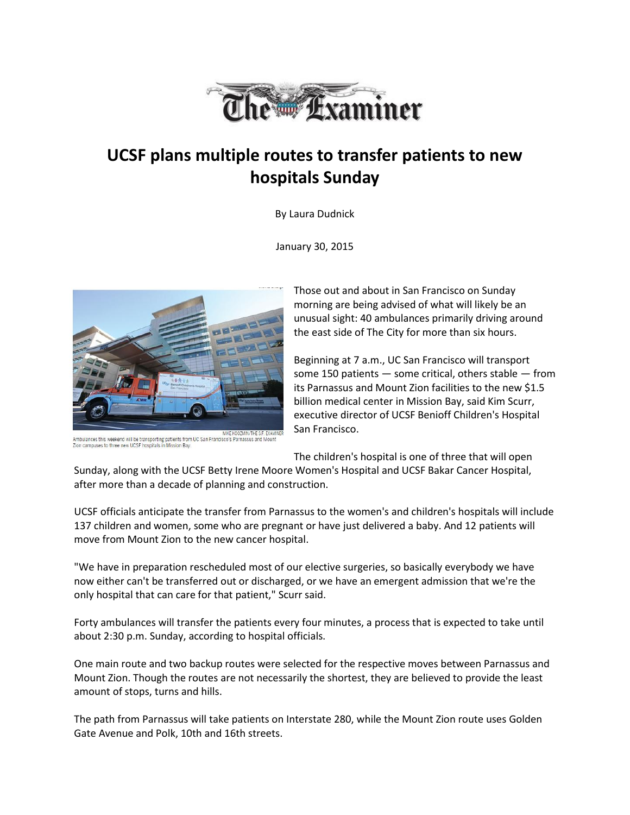

## **UCSF plans multiple routes to transfer patients to new hospitals Sunday**

By Laura Dudnick

January 30, 2015



MIKE KOOZMIN/THE S.F. EXAI Ambulances this weekend will be transporting patients from UC San Francisco's Parnassus and Mount<br>Zion campuses to three new UCSF hospitals in Mission Bay.

Those out and about in San Francisco on Sunday morning are being advised of what will likely be an unusual sight: 40 ambulances primarily driving around the east side of The City for more than six hours.

Beginning at 7 a.m., UC San Francisco will transport some 150 patients — some critical, others stable — from its Parnassus and Mount Zion facilities to the new \$1.5 billion medical center in Mission Bay, said Kim Scurr, executive director of UCSF Benioff Children's Hospital San Francisco.

The children's hospital is one of three that will open

Sunday, along with the UCSF Betty Irene Moore Women's Hospital and UCSF Bakar Cancer Hospital, after more than a decade of planning and construction.

UCSF officials anticipate the transfer from Parnassus to the women's and children's hospitals will include 137 children and women, some who are pregnant or have just delivered a baby. And 12 patients will move from Mount Zion to the new cancer hospital.

"We have in preparation rescheduled most of our elective surgeries, so basically everybody we have now either can't be transferred out or discharged, or we have an emergent admission that we're the only hospital that can care for that patient," Scurr said.

Forty ambulances will transfer the patients every four minutes, a process that is expected to take until about 2:30 p.m. Sunday, according to hospital officials.

One main route and two backup routes were selected for the respective moves between Parnassus and Mount Zion. Though the routes are not necessarily the shortest, they are believed to provide the least amount of stops, turns and hills.

The path from Parnassus will take patients on Interstate 280, while the Mount Zion route uses Golden Gate Avenue and Polk, 10th and 16th streets.